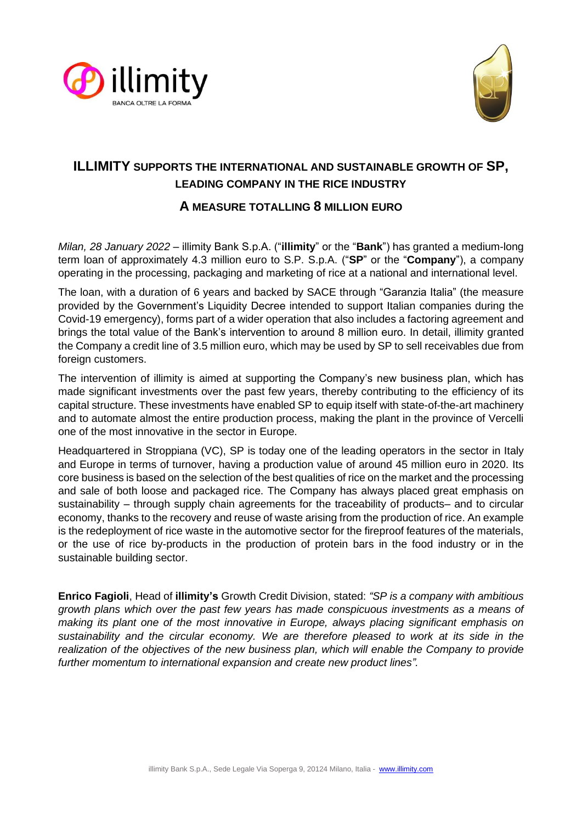



# **ILLIMITY SUPPORTS THE INTERNATIONAL AND SUSTAINABLE GROWTH OF SP, LEADING COMPANY IN THE RICE INDUSTRY**

# **A MEASURE TOTALLING 8 MILLION EURO**

*Milan, 28 January 2022* – illimity Bank S.p.A. ("**illimity**" or the "**Bank**") has granted a medium-long term loan of approximately 4.3 million euro to S.P. S.p.A. ("**SP**" or the "**Company**"), a company operating in the processing, packaging and marketing of rice at a national and international level.

The loan, with a duration of 6 years and backed by SACE through "Garanzia Italia" (the measure provided by the Government's Liquidity Decree intended to support Italian companies during the Covid-19 emergency), forms part of a wider operation that also includes a factoring agreement and brings the total value of the Bank's intervention to around 8 million euro. In detail, illimity granted the Company a credit line of 3.5 million euro, which may be used by SP to sell receivables due from foreign customers.

The intervention of illimity is aimed at supporting the Company's new business plan, which has made significant investments over the past few years, thereby contributing to the efficiency of its capital structure. These investments have enabled SP to equip itself with state-of-the-art machinery and to automate almost the entire production process, making the plant in the province of Vercelli one of the most innovative in the sector in Europe.

Headquartered in Stroppiana (VC), SP is today one of the leading operators in the sector in Italy and Europe in terms of turnover, having a production value of around 45 million euro in 2020. Its core business is based on the selection of the best qualities of rice on the market and the processing and sale of both loose and packaged rice. The Company has always placed great emphasis on sustainability – through supply chain agreements for the traceability of products– and to circular economy, thanks to the recovery and reuse of waste arising from the production of rice. An example is the redeployment of rice waste in the automotive sector for the fireproof features of the materials, or the use of rice by-products in the production of protein bars in the food industry or in the sustainable building sector.

**Enrico Fagioli**, Head of **illimity's** Growth Credit Division, stated: *"SP is a company with ambitious growth plans which over the past few years has made conspicuous investments as a means of making its plant one of the most innovative in Europe, always placing significant emphasis on sustainability and the circular economy. We are therefore pleased to work at its side in the realization of the objectives of the new business plan, which will enable the Company to provide further momentum to international expansion and create new product lines".*